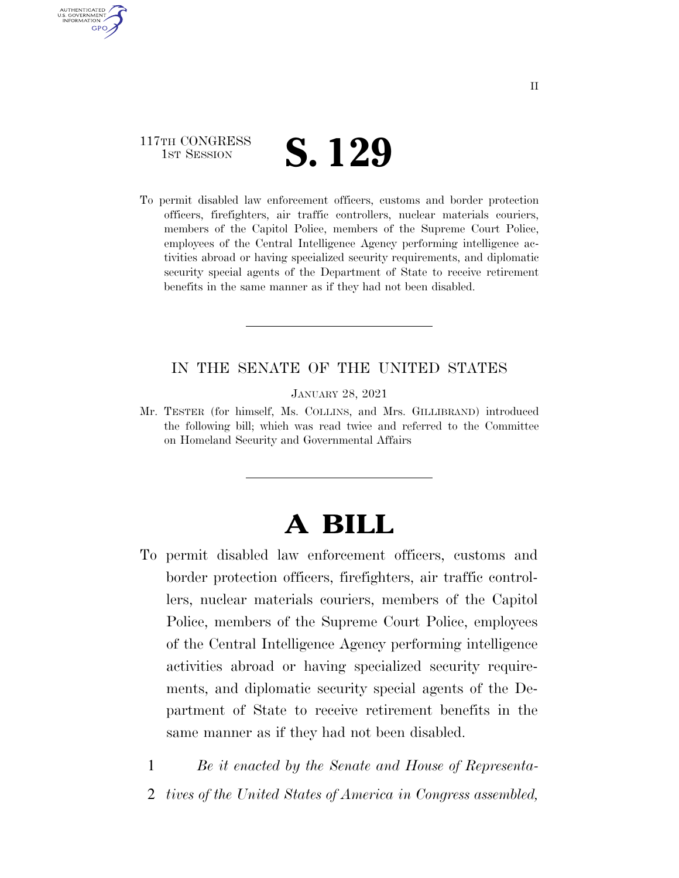# 117TH CONGRESS **IST SESSION S. 129**

AUTHENTICATED U.S. GOVERNMENT **GPO** 

> To permit disabled law enforcement officers, customs and border protection officers, firefighters, air traffic controllers, nuclear materials couriers, members of the Capitol Police, members of the Supreme Court Police, employees of the Central Intelligence Agency performing intelligence activities abroad or having specialized security requirements, and diplomatic security special agents of the Department of State to receive retirement benefits in the same manner as if they had not been disabled.

## IN THE SENATE OF THE UNITED STATES

JANUARY 28, 2021

Mr. TESTER (for himself, Ms. COLLINS, and Mrs. GILLIBRAND) introduced the following bill; which was read twice and referred to the Committee on Homeland Security and Governmental Affairs

# **A BILL**

- To permit disabled law enforcement officers, customs and border protection officers, firefighters, air traffic controllers, nuclear materials couriers, members of the Capitol Police, members of the Supreme Court Police, employees of the Central Intelligence Agency performing intelligence activities abroad or having specialized security requirements, and diplomatic security special agents of the Department of State to receive retirement benefits in the same manner as if they had not been disabled.
	- 1 *Be it enacted by the Senate and House of Representa-*2 *tives of the United States of America in Congress assembled,*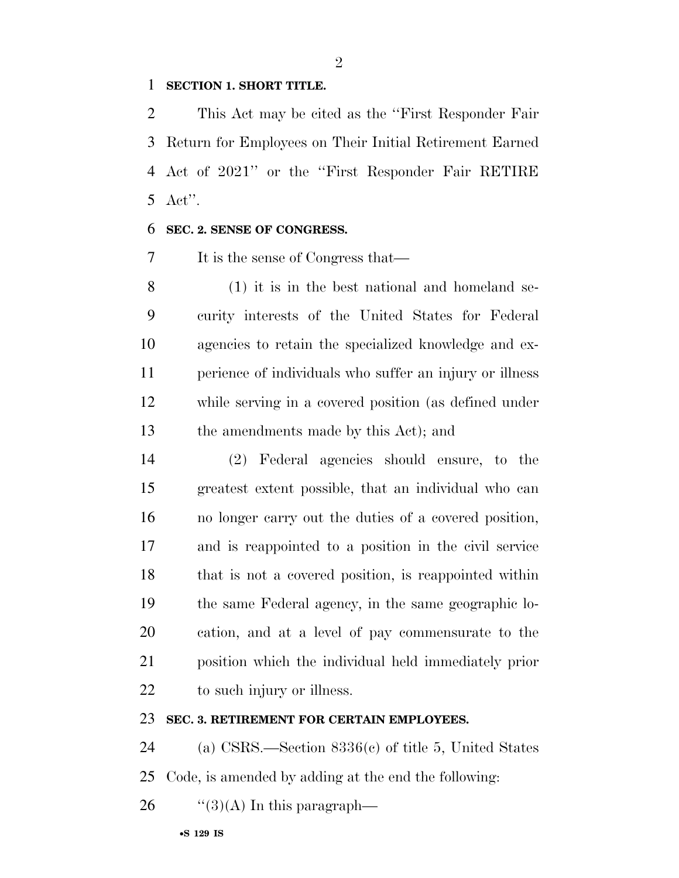#### **SECTION 1. SHORT TITLE.**

 This Act may be cited as the ''First Responder Fair Return for Employees on Their Initial Retirement Earned Act of 2021'' or the ''First Responder Fair RETIRE Act''.

#### **SEC. 2. SENSE OF CONGRESS.**

It is the sense of Congress that—

 (1) it is in the best national and homeland se- curity interests of the United States for Federal agencies to retain the specialized knowledge and ex- perience of individuals who suffer an injury or illness while serving in a covered position (as defined under the amendments made by this Act); and

 (2) Federal agencies should ensure, to the greatest extent possible, that an individual who can no longer carry out the duties of a covered position, and is reappointed to a position in the civil service that is not a covered position, is reappointed within the same Federal agency, in the same geographic lo- cation, and at a level of pay commensurate to the position which the individual held immediately prior 22 to such injury or illness.

### **SEC. 3. RETIREMENT FOR CERTAIN EMPLOYEES.**

 (a) CSRS.—Section 8336(c) of title 5, United States Code, is amended by adding at the end the following:

26  $\frac{1}{2}(3)(A)$  In this paragraph—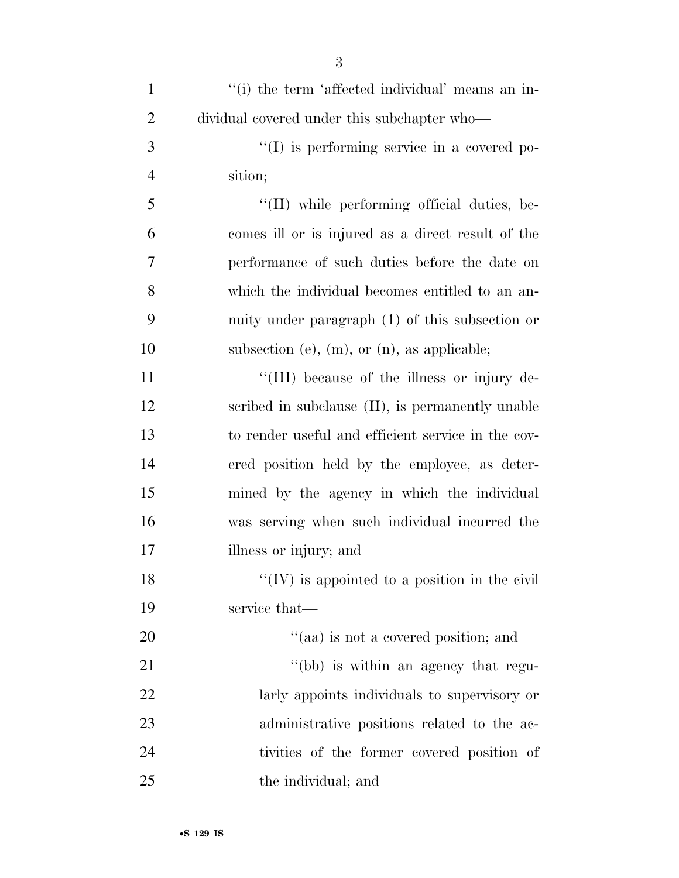| $\mathbf{1}$   | "(i) the term 'affected individual' means an in-      |
|----------------|-------------------------------------------------------|
| $\overline{2}$ | dividual covered under this subchapter who—           |
| 3              | $\lq\lq$ is performing service in a covered po-       |
| $\overline{4}$ | sition;                                               |
| 5              | "(II) while performing official duties, be-           |
| 6              | comes ill or is injured as a direct result of the     |
| 7              | performance of such duties before the date on         |
| 8              | which the individual becomes entitled to an an-       |
| 9              | nuity under paragraph (1) of this subsection or       |
| 10             | subsection (e), $(m)$ , or $(n)$ , as applicable;     |
| 11             | "(III) because of the illness or injury de-           |
| 12             | scribed in subclause (II), is permanently unable      |
| 13             | to render useful and efficient service in the cov-    |
| 14             | ered position held by the employee, as deter-         |
| 15             | mined by the agency in which the individual           |
| 16             | was serving when such individual incurred the         |
| 17             | illness or injury; and                                |
| 18             | $\lq\lq$ (IV) is appointed to a position in the civil |
| 19             | service that—                                         |
| 20             | "(aa) is not a covered position; and                  |
| 21             | "(bb) is within an agency that regu-                  |
| 22             | larly appoints individuals to supervisory or          |
| 23             | administrative positions related to the ac-           |
| 24             | tivities of the former covered position of            |
| 25             | the individual; and                                   |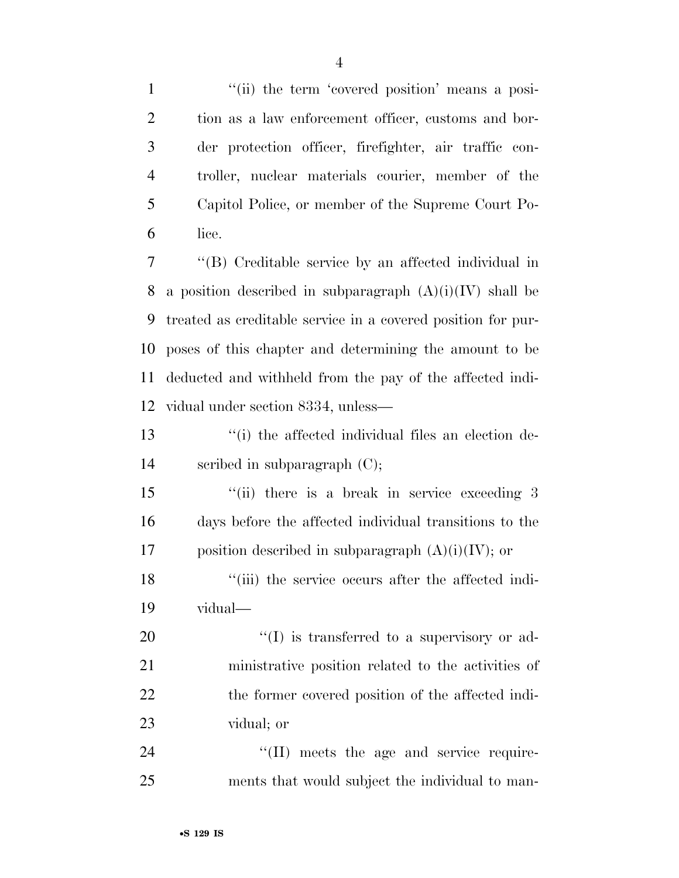1 ''(ii) the term 'covered position' means a posi- tion as a law enforcement officer, customs and bor- der protection officer, firefighter, air traffic con- troller, nuclear materials courier, member of the Capitol Police, or member of the Supreme Court Po-lice.

 ''(B) Creditable service by an affected individual in 8 a position described in subparagraph  $(A)(i)(IV)$  shall be treated as creditable service in a covered position for pur- poses of this chapter and determining the amount to be deducted and withheld from the pay of the affected indi-vidual under section 8334, unless—

 ''(i) the affected individual files an election de-scribed in subparagraph (C);

15 ''(ii) there is a break in service exceeding 3 days before the affected individual transitions to the 17 position described in subparagraph  $(A)(i)(IV)$ ; or

18 "(iii) the service occurs after the affected indi-vidual—

 $\frac{1}{20}$  (I) is transferred to a supervisory or ad- ministrative position related to the activities of 22 the former covered position of the affected indi-vidual; or

24  $\text{``(II)}$  meets the age and service require-ments that would subject the individual to man-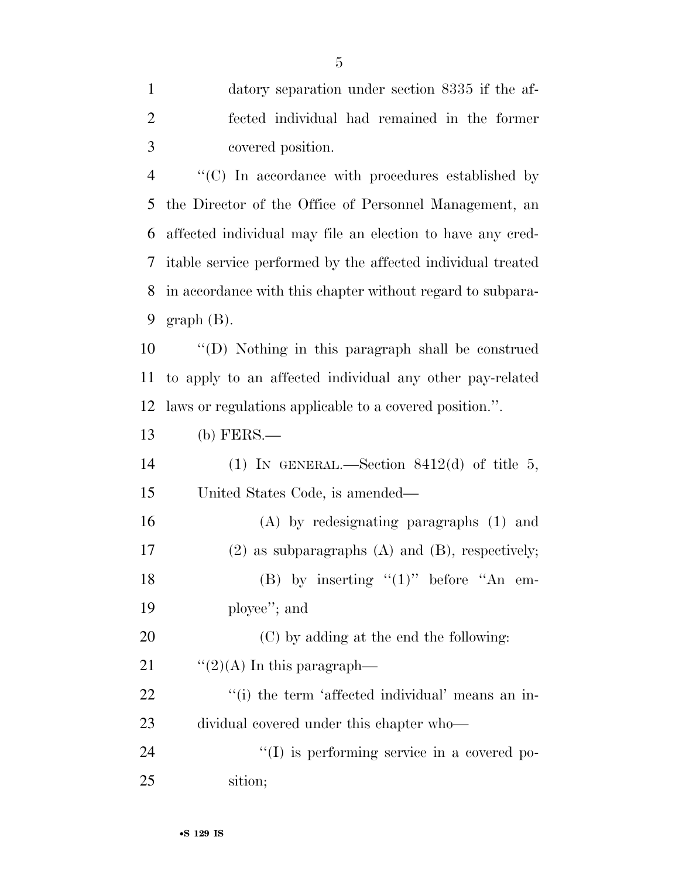| $\mathbf{1}$   | datory separation under section 8335 if the af-             |
|----------------|-------------------------------------------------------------|
| $\overline{2}$ | fected individual had remained in the former                |
| 3              | covered position.                                           |
| $\overline{4}$ | "(C) In accordance with procedures established by           |
| 5              | the Director of the Office of Personnel Management, an      |
| 6              | affected individual may file an election to have any cred-  |
| 7              | itable service performed by the affected individual treated |
| 8              | in accordance with this chapter without regard to subpara-  |
| 9              | $graph(B)$ .                                                |
| 10             | "(D) Nothing in this paragraph shall be construed           |
| 11             | to apply to an affected individual any other pay-related    |
| 12             | laws or regulations applicable to a covered position.".     |
| 13             | $(b)$ FERS.—                                                |
| 14             | (1) IN GENERAL.—Section 8412(d) of title 5,                 |
| 15             | United States Code, is amended—                             |
| 16             | $(A)$ by redesignating paragraphs $(1)$ and                 |
| 17             | $(2)$ as subparagraphs $(A)$ and $(B)$ , respectively;      |
| 18             | (B) by inserting " $(1)$ " before "An em-                   |
| 19             | ployee"; and                                                |
| 20             | (C) by adding at the end the following:                     |
| 21             | $\lq(2)(A)$ In this paragraph—                              |
| 22             | "(i) the term 'affected individual' means an in-            |
| 23             | dividual covered under this chapter who-                    |
| 24             | "(I) is performing service in a covered po-                 |
| 25             | sition;                                                     |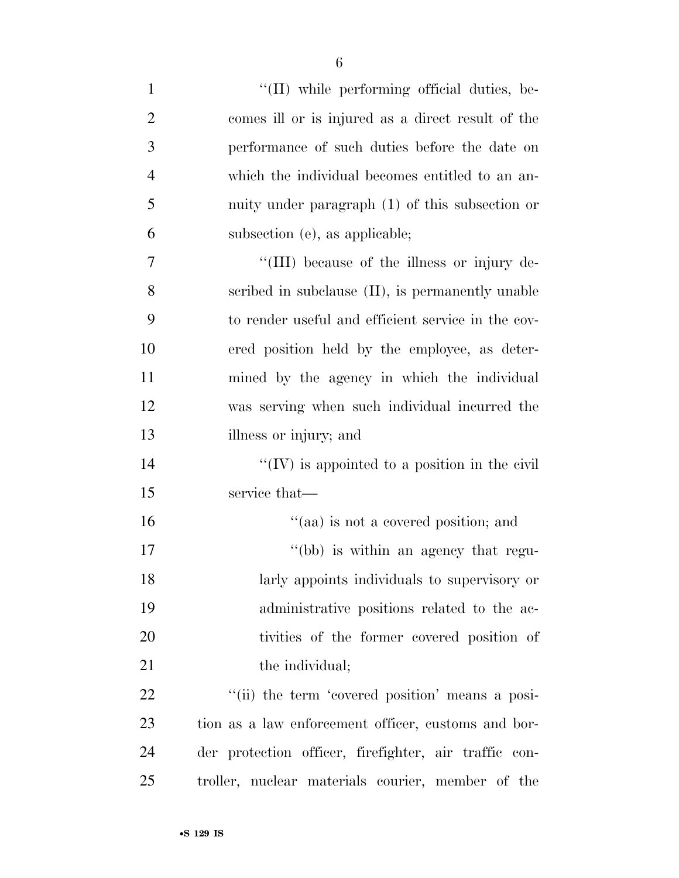| $\mathbf{1}$   | $\lq\lq$ (II) while performing official duties, be-   |
|----------------|-------------------------------------------------------|
| $\overline{2}$ | comes ill or is injured as a direct result of the     |
| 3              | performance of such duties before the date on         |
| $\overline{4}$ | which the individual becomes entitled to an an-       |
| 5              | nuity under paragraph (1) of this subsection or       |
| 6              | subsection (e), as applicable;                        |
| 7              | "(III) because of the illness or injury de-           |
| 8              | scribed in subclause (II), is permanently unable      |
| 9              | to render useful and efficient service in the cov-    |
| 10             | ered position held by the employee, as deter-         |
| 11             | mined by the agency in which the individual           |
| 12             | was serving when such individual incurred the         |
| 13             | illness or injury; and                                |
| 14             | $\lq\lq$ (IV) is appointed to a position in the civil |
| 15             | service that—                                         |
| 16             | "(aa) is not a covered position; and                  |
| 17             | "(bb) is within an agency that regu-                  |
| 18             | larly appoints individuals to supervisory or          |
| 19             | administrative positions related to the ac-           |
| 20             | tivities of the former covered position of            |
| 21             | the individual;                                       |
| 22             | "(ii) the term 'covered position' means a posi-       |
| 23             | tion as a law enforcement officer, customs and bor-   |
| 24             | der protection officer, firefighter, air traffic con- |
| 25             | troller, nuclear materials courier, member of the     |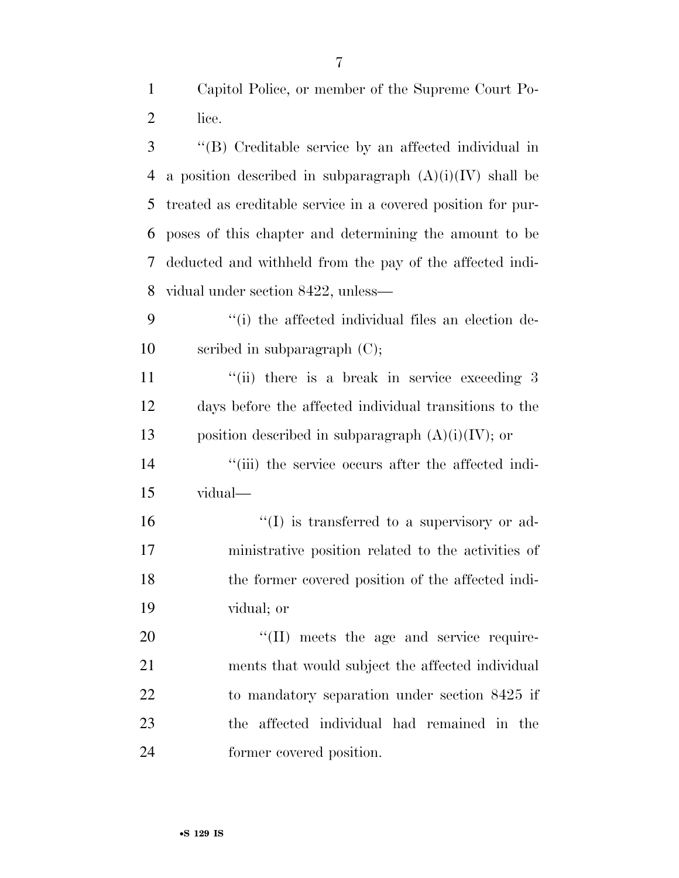Capitol Police, or member of the Supreme Court Po-lice.

 ''(B) Creditable service by an affected individual in 4 a position described in subparagraph  $(A)(i)(IV)$  shall be treated as creditable service in a covered position for pur- poses of this chapter and determining the amount to be deducted and withheld from the pay of the affected indi-vidual under section 8422, unless—

 ''(i) the affected individual files an election de-scribed in subparagraph (C);

11 ''(ii) there is a break in service exceeding 3 days before the affected individual transitions to the 13 position described in subparagraph  $(A)(i)(IV)$ ; or

14  $\frac{1}{2}$   $\frac{1}{2}$   $\frac{1}{2}$  the service occurs after the affected indi-vidual—

 $\text{``(I)}$  is transferred to a supervisory or ad- ministrative position related to the activities of the former covered position of the affected indi-vidual; or

 $\text{``(II)}$  meets the age and service require- ments that would subject the affected individual to mandatory separation under section 8425 if the affected individual had remained in the former covered position.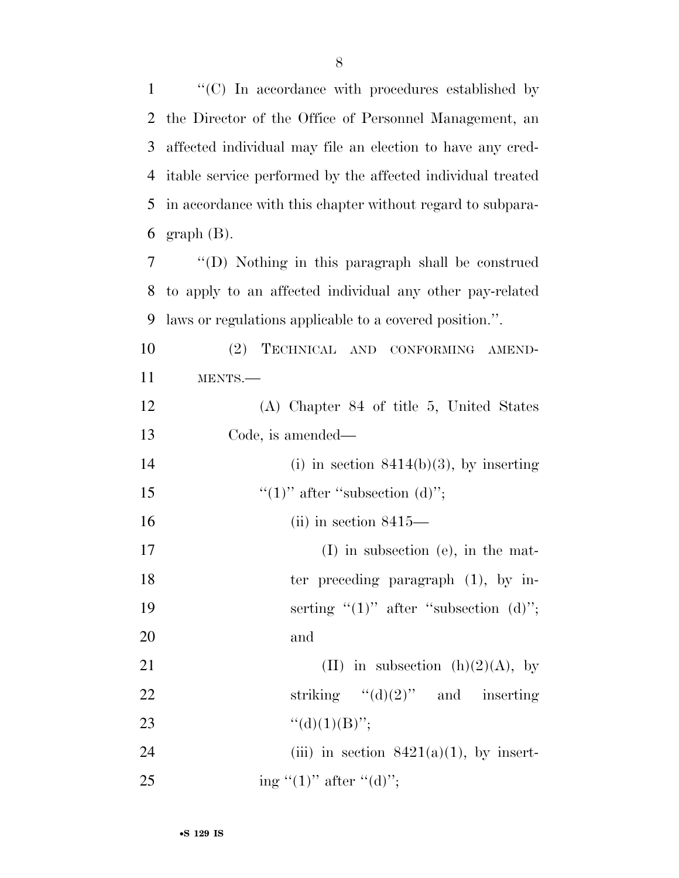''(C) In accordance with procedures established by the Director of the Office of Personnel Management, an affected individual may file an election to have any cred- itable service performed by the affected individual treated in accordance with this chapter without regard to subpara- graph (B). ''(D) Nothing in this paragraph shall be construed to apply to an affected individual any other pay-related laws or regulations applicable to a covered position.''. (2) TECHNICAL AND CONFORMING AMEND-11 MENTS.— (A) Chapter 84 of title 5, United States Code, is amended— 14 (i) in section  $8414(b)(3)$ , by inserting  $\frac{((1))}{(1)}$  after "subsection (d)"; (ii) in section 8415— 17 (I) in subsection (e), in the mat-18 ter preceding paragraph (1), by in-19 serting  $"(1)"$  after "subsection (d)"; 20 and 21 (II) in subsection  $(h)(2)(A)$ , by 22 striking  $"(\mathrm{d})(2)"$  and inserting  $"({\rm d})(1)({\rm B})"$ ; 24 (iii) in section  $8421(a)(1)$ , by insert-

25 ing " $(1)$ " after " $(d)$ ";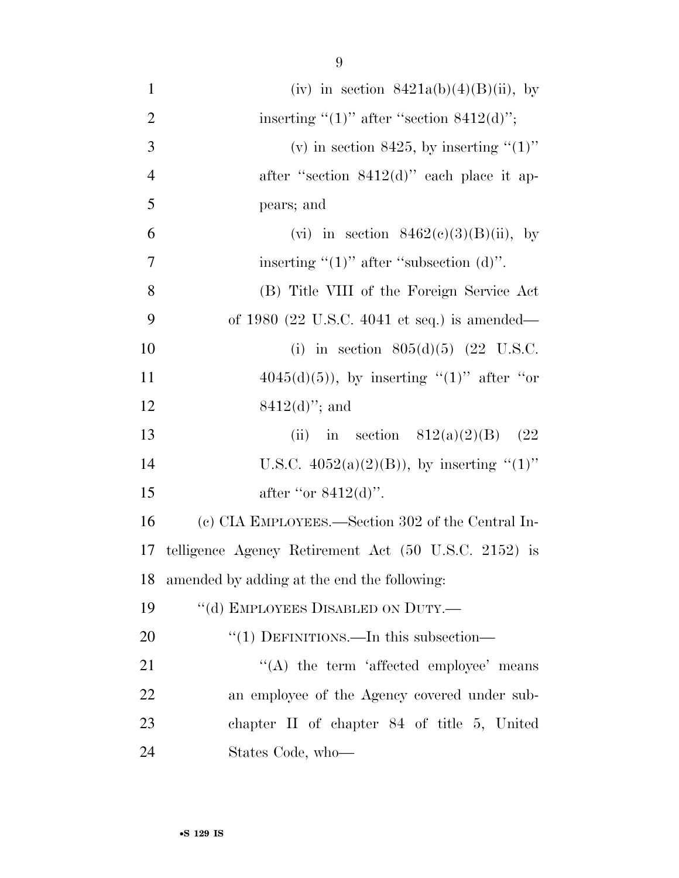| $\mathbf{1}$   | (iv) in section $8421a(b)(4)(B)(ii)$ , by            |
|----------------|------------------------------------------------------|
| $\overline{2}$ | inserting " $(1)$ " after "section 8412 $(d)$ ";     |
| 3              | (v) in section 8425, by inserting " $(1)$ "          |
| $\overline{4}$ | after "section $8412(d)$ " each place it ap-         |
| 5              | pears; and                                           |
| 6              | (vi) in section $8462(c)(3)(B)(ii)$ , by             |
| 7              | inserting " $(1)$ " after "subsection $(d)$ ".       |
| 8              | (B) Title VIII of the Foreign Service Act            |
| 9              | of 1980 (22 U.S.C. 4041 et seq.) is amended—         |
| 10             | (i) in section $805(d)(5)$ (22 U.S.C.                |
| 11             | $4045(d)(5)$ , by inserting "(1)" after "or          |
| 12             | $8412(d)$ "; and                                     |
| 13             | (ii) in section $812(a)(2)(B)$ (22)                  |
| 14             | U.S.C. $4052(a)(2)(B)$ , by inserting "(1)"          |
|                |                                                      |
| 15             | after "or $8412(d)$ ".                               |
| 16             | (c) CIA EMPLOYEES.—Section 302 of the Central In-    |
| 17             | telligence Agency Retirement Act (50 U.S.C. 2152) is |
| 18             | amended by adding at the end the following:          |
| 19             | "(d) EMPLOYEES DISABLED ON DUTY.—                    |
| 20             | " $(1)$ DEFINITIONS.—In this subsection—             |
| 21             | "(A) the term 'affected employee' means              |
| 22             | an employee of the Agency covered under sub-         |
| 23             | chapter $II$ of chapter $84$ of title 5, United      |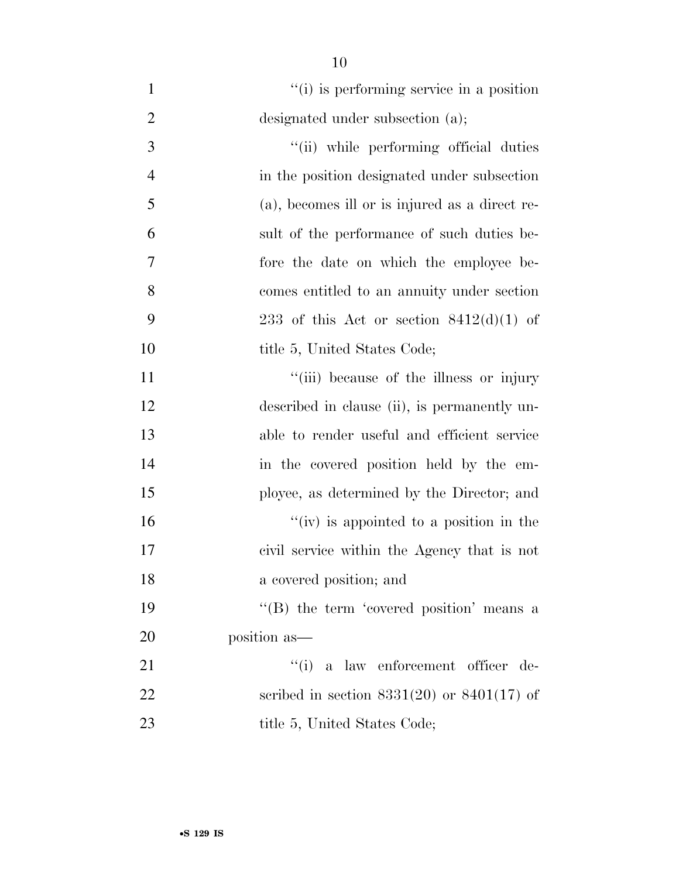$\frac{1}{1}$  (i) is performing service in a position 2 designated under subsection (a);  $\frac{1}{1}$  The performing official duties in the position designated under subsection (a), becomes ill or is injured as a direct re- sult of the performance of such duties be- fore the date on which the employee be- comes entitled to an annuity under section 9 233 of this Act or section  $8412(d)(1)$  of 10 title 5, United States Code;  $"$ (iii) because of the illness or injury 12 described in clause (ii), is permanently un- able to render useful and efficient service in the covered position held by the em- ployee, as determined by the Director; and  $''(iv)$  is appointed to a position in the civil service within the Agency that is not a covered position; and 19 ''(B) the term 'covered position' means a position as— 21 ''(i) a law enforcement officer de- scribed in section 8331(20) or 8401(17) of 23 title 5, United States Code;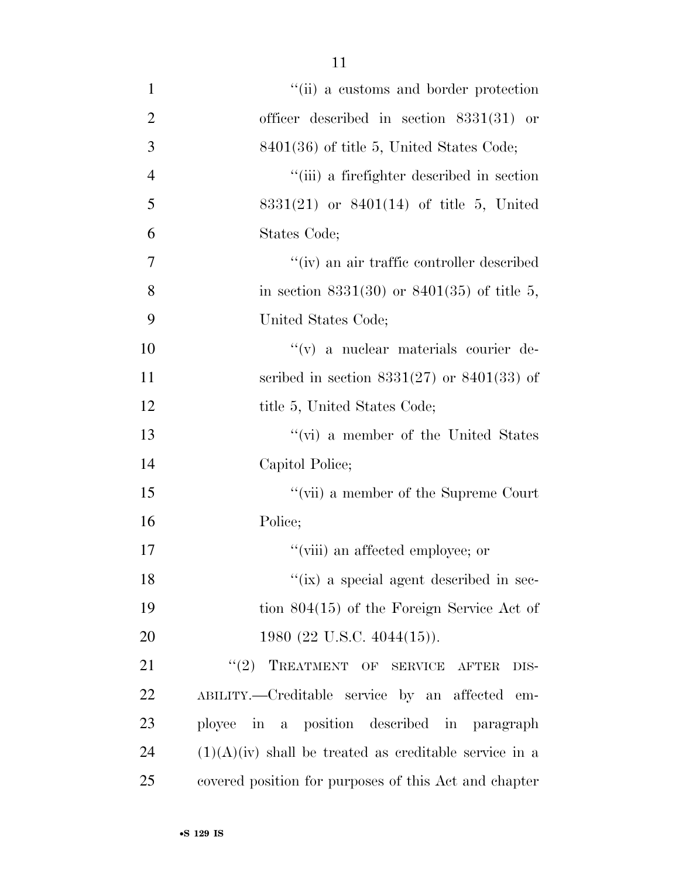| $\mathbf{1}$   | "(ii) a customs and border protection                    |
|----------------|----------------------------------------------------------|
| $\overline{2}$ | officer described in section $8331(31)$ or               |
| 3              | $8401(36)$ of title 5, United States Code;               |
| $\overline{4}$ | "(iii) a firefighter described in section                |
| 5              | $8331(21)$ or $8401(14)$ of title 5, United              |
| 6              | States Code;                                             |
| $\overline{7}$ | "(iv) an air traffic controller described                |
| 8              | in section 8331(30) or 8401(35) of title 5,              |
| 9              | United States Code;                                      |
| 10             | "(v) a nuclear materials courier de-                     |
| 11             | scribed in section $8331(27)$ or $8401(33)$ of           |
| 12             | title 5, United States Code;                             |
| 13             | "(vi) a member of the United States                      |
| 14             | Capitol Police;                                          |
| 15             | "(vii) a member of the Supreme Court                     |
| 16             | Police;                                                  |
| 17             | "(viii) an affected employee; or                         |
| 18             | "(ix) a special agent described in sec-                  |
| 19             | tion $804(15)$ of the Foreign Service Act of             |
| 20             | 1980 (22 U.S.C. 4044(15)).                               |
| 21             | (2)<br>TREATMENT OF SERVICE AFTER<br>DIS-                |
| 22             | ABILITY.—Creditable service by an affected em-           |
| 23             | ployee in a position described in paragraph              |
| 24             | $(1)(A)(iv)$ shall be treated as creditable service in a |
| 25             | covered position for purposes of this Act and chapter    |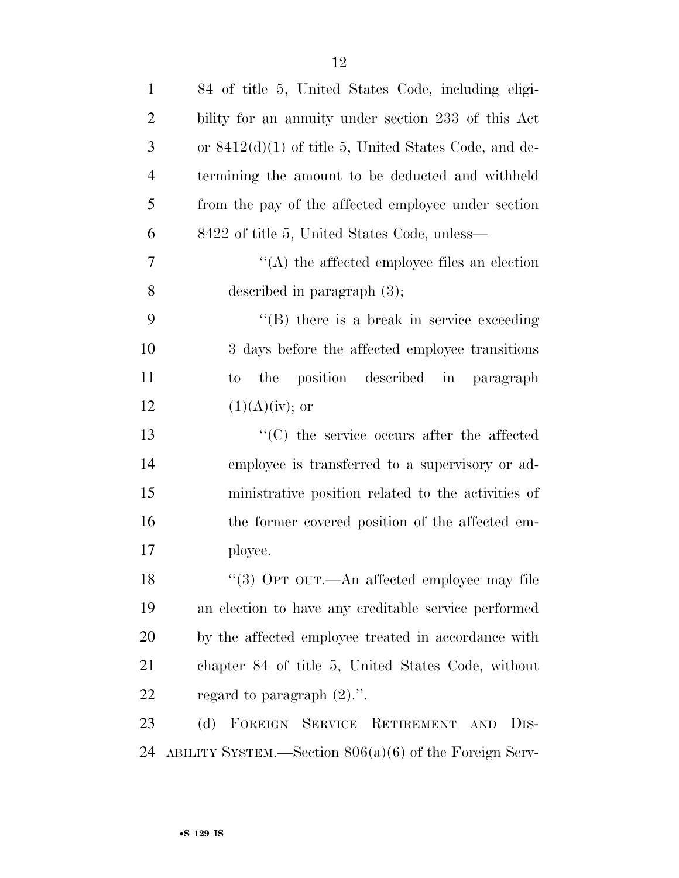| $\mathbf{1}$   | 84 of title 5, United States Code, including eligi-      |
|----------------|----------------------------------------------------------|
| $\overline{2}$ | bility for an annuity under section 233 of this Act      |
| 3              | or $8412(d)(1)$ of title 5, United States Code, and de-  |
| $\overline{4}$ | termining the amount to be deducted and withheld         |
| 5              | from the pay of the affected employee under section      |
| 6              | 8422 of title 5, United States Code, unless—             |
| 7              | $\lq\lq$ the affected employee files an election         |
| 8              | described in paragraph $(3)$ ;                           |
| 9              | $\lq\lq$ (B) there is a break in service exceeding       |
| 10             | 3 days before the affected employee transitions          |
| 11             | the position described in paragraph<br>to                |
| 12             | $(1)(A)(iv);$ or                                         |
| 13             | $\cdot$ (C) the service occurs after the affected        |
| 14             | employee is transferred to a supervisory or ad-          |
| 15             | ministrative position related to the activities of       |
| 16             | the former covered position of the affected em-          |
| 17             | ployee.                                                  |
| 18             | "(3) OPT OUT.—An affected employee may file              |
| 19             | an election to have any creditable service performed     |
| 20             | by the affected employee treated in accordance with      |
| 21             | chapter 84 of title 5, United States Code, without       |
| 22             | regard to paragraph $(2)$ .".                            |
| 23             | (d) FOREIGN SERVICE RETIREMENT AND<br>D <sub>IS</sub> -  |
| 24             | ABILITY SYSTEM.—Section $806(a)(6)$ of the Foreign Serv- |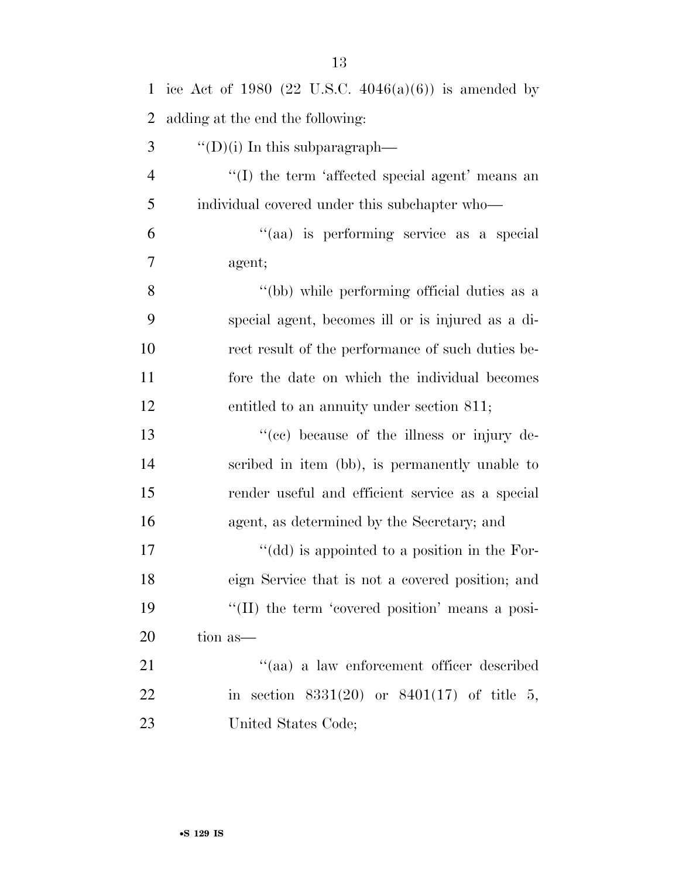| $\mathbf{1}$   | ice Act of 1980 (22 U.S.C. $4046(a)(6)$ ) is amended by |
|----------------|---------------------------------------------------------|
| $\overline{2}$ | adding at the end the following:                        |
| 3              | "(D)(i) In this subparagraph—                           |
| $\overline{4}$ | "(I) the term 'affected special agent' means an         |
| 5              | individual covered under this subchapter who—           |
| 6              | "(aa) is performing service as a special                |
| 7              | agent;                                                  |
| 8              | "(bb) while performing official duties as a             |
| 9              | special agent, becomes ill or is injured as a di-       |
| 10             | rect result of the performance of such duties be-       |
| 11             | fore the date on which the individual becomes           |
| 12             | entitled to an annuity under section 811;               |
| 13             | "(cc) because of the illness or injury de-              |
| 14             | scribed in item (bb), is permanently unable to          |
| 15             | render useful and efficient service as a special        |
| 16             | agent, as determined by the Secretary; and              |
| 17             | "(dd) is appointed to a position in the For-            |
| 18             | eign Service that is not a covered position; and        |
| 19             | "(II) the term 'covered position' means a posi-         |
| 20             | tion as—                                                |
| 21             | "(aa) a law enforcement officer described               |
| 22             | in section $8331(20)$ or $8401(17)$ of title 5,         |
| 23             | United States Code;                                     |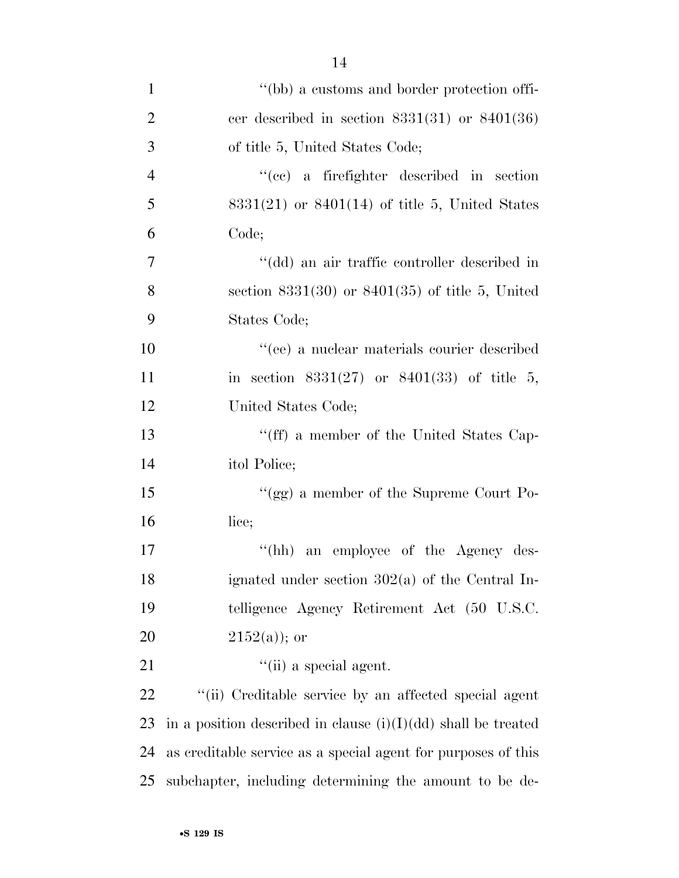| $\mathbf{1}$   | "(bb) a customs and border protection offi-                     |
|----------------|-----------------------------------------------------------------|
| $\overline{2}$ | cer described in section $8331(31)$ or $8401(36)$               |
| 3              | of title 5, United States Code;                                 |
| $\overline{4}$ | "(cc) a firefighter described in section                        |
| 5              | $8331(21)$ or $8401(14)$ of title 5, United States              |
| 6              | Code;                                                           |
| 7              | "(dd) an air traffic controller described in                    |
| 8              | section $8331(30)$ or $8401(35)$ of title 5, United             |
| 9              | States Code;                                                    |
| 10             | "(ee) a nuclear materials courier described                     |
| 11             | in section $8331(27)$ or $8401(33)$ of title 5,                 |
| 12             | United States Code;                                             |
| 13             | "(ff) a member of the United States Cap-                        |
| 14             | itol Police;                                                    |
| 15             | "(gg) a member of the Supreme Court Po-                         |
| 16             | lice;                                                           |
| 17             | $\lq\lq(hh)$<br>an employee of the Agency des-                  |
| 18             | ignated under section 302(a) of the Central In-                 |
| 19             | telligence Agency Retirement Act (50 U.S.C.                     |
| 20             | $2152(a)$ ; or                                                  |
| 21             | $\lq\lq$ (ii) a special agent.                                  |
| 22             | "(ii) Creditable service by an affected special agent           |
| 23             | in a position described in clause $(i)(I)(dd)$ shall be treated |
| 24             | as creditable service as a special agent for purposes of this   |
| 25             | subchapter, including determining the amount to be de-          |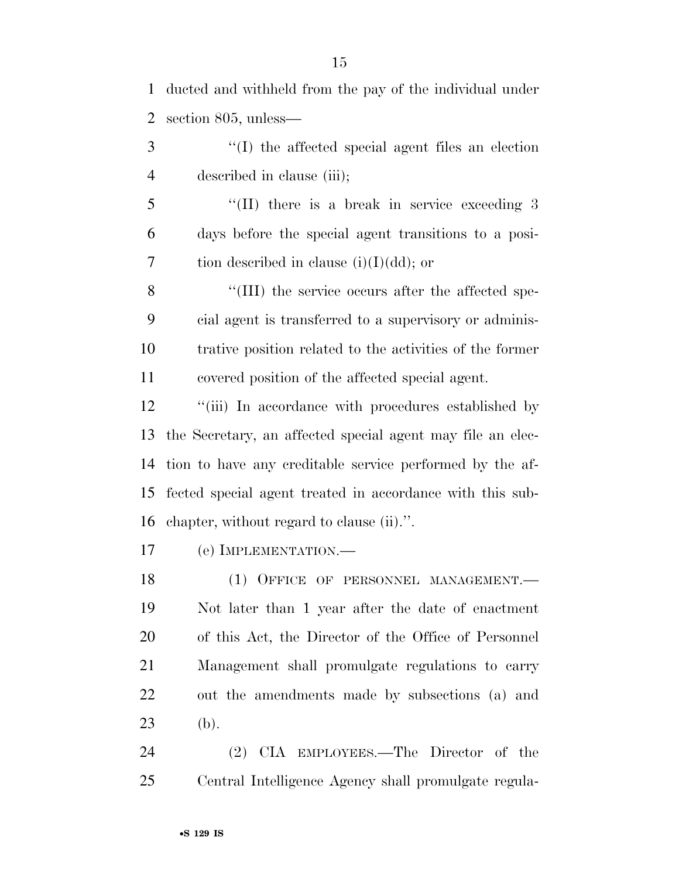ducted and withheld from the pay of the individual under section 805, unless—

 ''(I) the affected special agent files an election described in clause (iii);

5 "(II) there is a break in service exceeding 3 days before the special agent transitions to a posi-7 tion described in clause  $(i)(I)(dd)$ ; or

8 "(III) the service occurs after the affected spe- cial agent is transferred to a supervisory or adminis- trative position related to the activities of the former covered position of the affected special agent.

12 "(iii) In accordance with procedures established by the Secretary, an affected special agent may file an elec- tion to have any creditable service performed by the af- fected special agent treated in accordance with this sub-chapter, without regard to clause (ii).''.

(e) IMPLEMENTATION.—

18 (1) OFFICE OF PERSONNEL MANAGEMENT. Not later than 1 year after the date of enactment of this Act, the Director of the Office of Personnel Management shall promulgate regulations to carry out the amendments made by subsections (a) and (b).

 (2) CIA EMPLOYEES.—The Director of the Central Intelligence Agency shall promulgate regula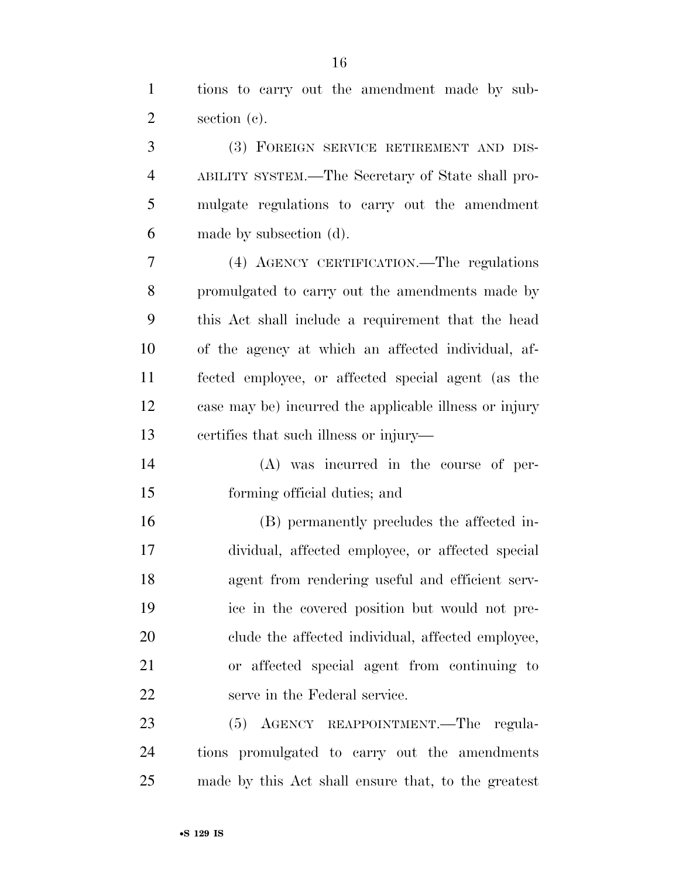tions to carry out the amendment made by sub-section (c).

 (3) FOREIGN SERVICE RETIREMENT AND DIS- ABILITY SYSTEM.—The Secretary of State shall pro- mulgate regulations to carry out the amendment made by subsection (d).

 (4) AGENCY CERTIFICATION.—The regulations promulgated to carry out the amendments made by this Act shall include a requirement that the head of the agency at which an affected individual, af- fected employee, or affected special agent (as the case may be) incurred the applicable illness or injury certifies that such illness or injury—

 (A) was incurred in the course of per-forming official duties; and

 (B) permanently precludes the affected in- dividual, affected employee, or affected special agent from rendering useful and efficient serv- ice in the covered position but would not pre- clude the affected individual, affected employee, or affected special agent from continuing to serve in the Federal service.

 (5) AGENCY REAPPOINTMENT.—The regula- tions promulgated to carry out the amendments made by this Act shall ensure that, to the greatest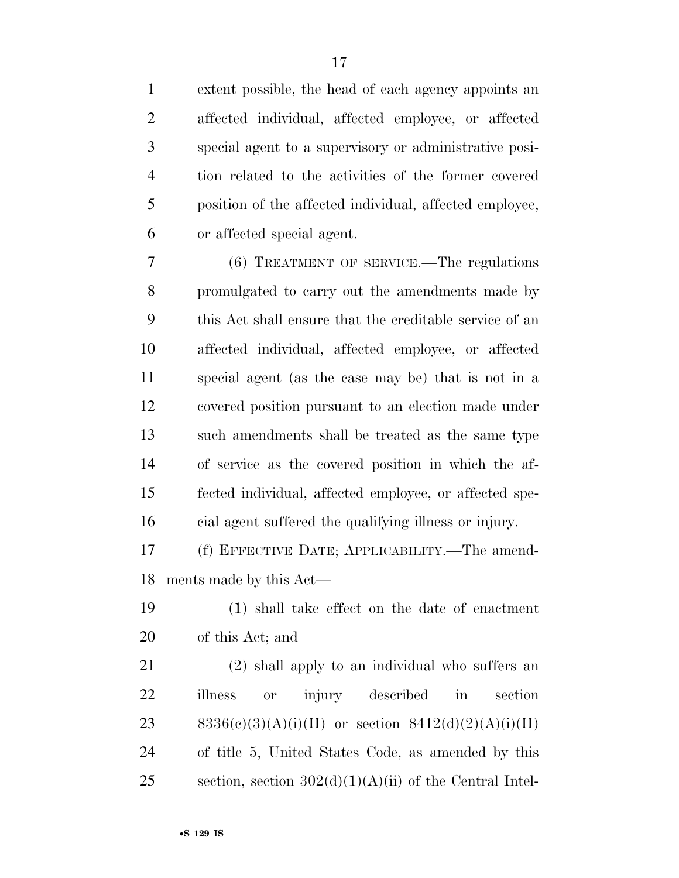extent possible, the head of each agency appoints an affected individual, affected employee, or affected special agent to a supervisory or administrative posi- tion related to the activities of the former covered position of the affected individual, affected employee, or affected special agent.

 (6) TREATMENT OF SERVICE.—The regulations promulgated to carry out the amendments made by this Act shall ensure that the creditable service of an affected individual, affected employee, or affected special agent (as the case may be) that is not in a covered position pursuant to an election made under such amendments shall be treated as the same type of service as the covered position in which the af- fected individual, affected employee, or affected spe-cial agent suffered the qualifying illness or injury.

 (f) EFFECTIVE DATE; APPLICABILITY.—The amend-ments made by this Act—

 (1) shall take effect on the date of enactment of this Act; and

 (2) shall apply to an individual who suffers an illness or injury described in section 23 8336(c)(3)(A)(i)(II) or section  $8412(d)(2)(A)(i)(II)$  of title 5, United States Code, as amended by this 25 section, section  $302(d)(1)(A)(ii)$  of the Central Intel